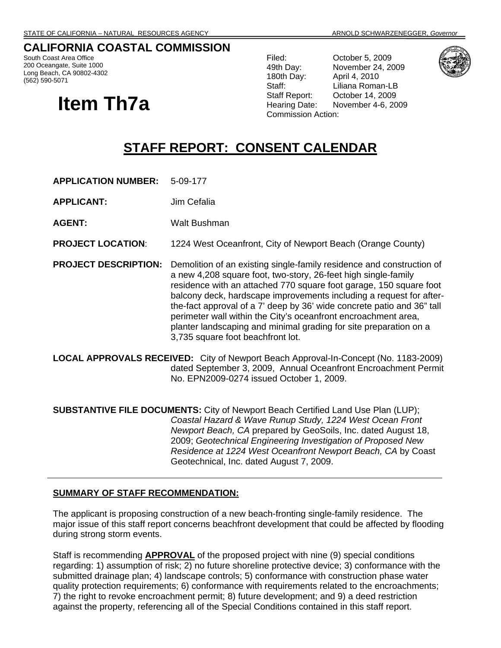## **CALIFORNIA COASTAL COMMISSION**

South Coast Area Office 200 Oceangate, Suite 1000 Long Beach, CA 90802-4302 (562) 590-5071

# **Item Th7a**

Filed: October 5, 2009 49th Day: November 24, 2009 180th Day: April 4, 2010 Staff: Liliana Roman-LB Staff Report: October 14, 2009 Hearing Date: November 4-6, 2009 Commission Action:



## **STAFF REPORT: CONSENT CALENDAR**

**APPLICATION NUMBER:** 5-09-177

**APPLICANT:** Jim Cefalia

**AGENT:** Walt Bushman

**PROJECT LOCATION**: 1224 West Oceanfront, City of Newport Beach (Orange County)

**PROJECT DESCRIPTION:** Demolition of an existing single-family residence and construction of a new 4,208 square foot, two-story, 26-feet high single-family residence with an attached 770 square foot garage, 150 square foot balcony deck, hardscape improvements including a request for afterthe-fact approval of a 7' deep by 36' wide concrete patio and 36" tall perimeter wall within the City's oceanfront encroachment area, planter landscaping and minimal grading for site preparation on a 3,735 square foot beachfront lot.

**LOCAL APPROVALS RECEIVED:** City of Newport Beach Approval-In-Concept (No. 1183-2009) dated September 3, 2009, Annual Oceanfront Encroachment Permit No. EPN2009-0274 issued October 1, 2009.

**SUBSTANTIVE FILE DOCUMENTS:** City of Newport Beach Certified Land Use Plan (LUP); *Coastal Hazard & Wave Runup Study, 1224 West Ocean Front Newport Beach, CA* prepared by GeoSoils, Inc. dated August 18, 2009; *Geotechnical Engineering Investigation of Proposed New Residence at 1224 West Oceanfront Newport Beach, CA* by Coast Geotechnical, Inc. dated August 7, 2009.

#### **SUMMARY OF STAFF RECOMMENDATION:**

The applicant is proposing construction of a new beach-fronting single-family residence. The major issue of this staff report concerns beachfront development that could be affected by flooding during strong storm events.

Staff is recommending **APPROVAL** of the proposed project with nine (9) special conditions regarding: 1) assumption of risk; 2) no future shoreline protective device; 3) conformance with the submitted drainage plan; 4) landscape controls; 5) conformance with construction phase water quality protection requirements; 6) conformance with requirements related to the encroachments; 7) the right to revoke encroachment permit; 8) future development; and 9) a deed restriction against the property, referencing all of the Special Conditions contained in this staff report.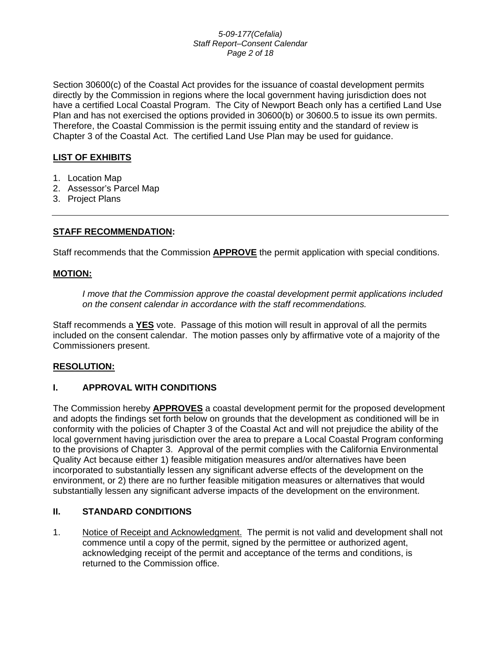#### *5-09-177(Cefalia) Staff Report–Consent Calendar Page 2 of 18*

Section 30600(c) of the Coastal Act provides for the issuance of coastal development permits directly by the Commission in regions where the local government having jurisdiction does not have a certified Local Coastal Program. The City of Newport Beach only has a certified Land Use Plan and has not exercised the options provided in 30600(b) or 30600.5 to issue its own permits. Therefore, the Coastal Commission is the permit issuing entity and the standard of review is Chapter 3 of the Coastal Act. The certified Land Use Plan may be used for guidance.

## **LIST OF EXHIBITS**

- 1. Location Map
- 2. Assessor's Parcel Map
- 3. Project Plans

## **STAFF RECOMMENDATION:**

Staff recommends that the Commission **APPROVE** the permit application with special conditions.

#### **MOTION:**

*I move that the Commission approve the coastal development permit applications included on the consent calendar in accordance with the staff recommendations.*

Staff recommends a **YES** vote. Passage of this motion will result in approval of all the permits included on the consent calendar. The motion passes only by affirmative vote of a majority of the Commissioners present.

## **RESOLUTION:**

## **I. APPROVAL WITH CONDITIONS**

The Commission hereby **APPROVES** a coastal development permit for the proposed development and adopts the findings set forth below on grounds that the development as conditioned will be in conformity with the policies of Chapter 3 of the Coastal Act and will not prejudice the ability of the local government having jurisdiction over the area to prepare a Local Coastal Program conforming to the provisions of Chapter 3. Approval of the permit complies with the California Environmental Quality Act because either 1) feasible mitigation measures and/or alternatives have been incorporated to substantially lessen any significant adverse effects of the development on the environment, or 2) there are no further feasible mitigation measures or alternatives that would substantially lessen any significant adverse impacts of the development on the environment.

## **II. STANDARD CONDITIONS**

1. Notice of Receipt and Acknowledgment. The permit is not valid and development shall not commence until a copy of the permit, signed by the permittee or authorized agent, acknowledging receipt of the permit and acceptance of the terms and conditions, is returned to the Commission office.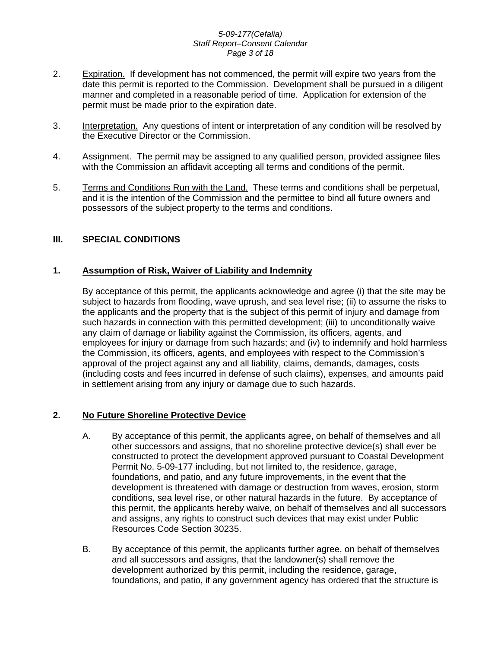#### *5-09-177(Cefalia) Staff Report–Consent Calendar Page 3 of 18*

- 2. Expiration. If development has not commenced, the permit will expire two years from the date this permit is reported to the Commission. Development shall be pursued in a diligent manner and completed in a reasonable period of time. Application for extension of the permit must be made prior to the expiration date.
- 3. Interpretation. Any questions of intent or interpretation of any condition will be resolved by the Executive Director or the Commission.
- 4. Assignment. The permit may be assigned to any qualified person, provided assignee files with the Commission an affidavit accepting all terms and conditions of the permit.
- 5. Terms and Conditions Run with the Land. These terms and conditions shall be perpetual, and it is the intention of the Commission and the permittee to bind all future owners and possessors of the subject property to the terms and conditions.

## **III. SPECIAL CONDITIONS**

#### **1. Assumption of Risk, Waiver of Liability and Indemnity**

By acceptance of this permit, the applicants acknowledge and agree (i) that the site may be subject to hazards from flooding, wave uprush, and sea level rise; (ii) to assume the risks to the applicants and the property that is the subject of this permit of injury and damage from such hazards in connection with this permitted development; (iii) to unconditionally waive any claim of damage or liability against the Commission, its officers, agents, and employees for injury or damage from such hazards; and (iv) to indemnify and hold harmless the Commission, its officers, agents, and employees with respect to the Commission's approval of the project against any and all liability, claims, demands, damages, costs (including costs and fees incurred in defense of such claims), expenses, and amounts paid in settlement arising from any injury or damage due to such hazards.

#### **2. No Future Shoreline Protective Device**

- A. By acceptance of this permit, the applicants agree, on behalf of themselves and all other successors and assigns, that no shoreline protective device(s) shall ever be constructed to protect the development approved pursuant to Coastal Development Permit No. 5-09-177 including, but not limited to, the residence, garage, foundations, and patio, and any future improvements, in the event that the development is threatened with damage or destruction from waves, erosion, storm conditions, sea level rise, or other natural hazards in the future. By acceptance of this permit, the applicants hereby waive, on behalf of themselves and all successors and assigns, any rights to construct such devices that may exist under Public Resources Code Section 30235.
- B. By acceptance of this permit, the applicants further agree, on behalf of themselves and all successors and assigns, that the landowner(s) shall remove the development authorized by this permit, including the residence, garage, foundations, and patio, if any government agency has ordered that the structure is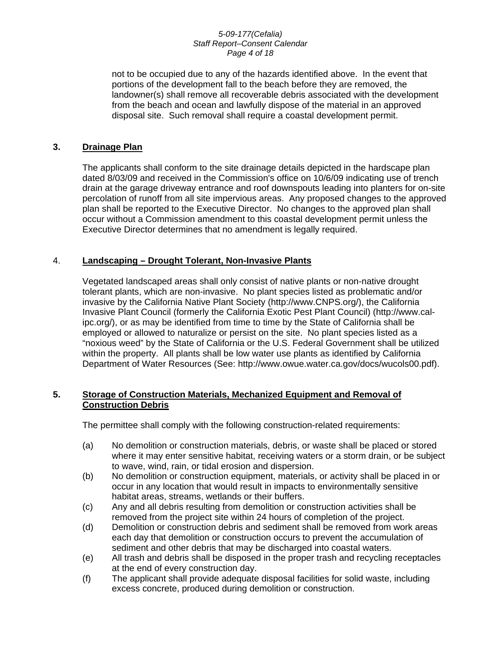#### *5-09-177(Cefalia) Staff Report–Consent Calendar Page 4 of 18*

not to be occupied due to any of the hazards identified above. In the event that portions of the development fall to the beach before they are removed, the landowner(s) shall remove all recoverable debris associated with the development from the beach and ocean and lawfully dispose of the material in an approved disposal site. Such removal shall require a coastal development permit.

#### **3. Drainage Plan**

The applicants shall conform to the site drainage details depicted in the hardscape plan dated 8/03/09 and received in the Commission's office on 10/6/09 indicating use of trench drain at the garage driveway entrance and roof downspouts leading into planters for on-site percolation of runoff from all site impervious areas. Any proposed changes to the approved plan shall be reported to the Executive Director. No changes to the approved plan shall occur without a Commission amendment to this coastal development permit unless the Executive Director determines that no amendment is legally required.

#### 4. **Landscaping – Drought Tolerant, Non-Invasive Plants**

Vegetated landscaped areas shall only consist of native plants or non-native drought tolerant plants, which are non-invasive. No plant species listed as problematic and/or invasive by the California Native Plant Society (http://www.CNPS.org/), the California Invasive Plant Council (formerly the California Exotic Pest Plant Council) (http://www.calipc.org/), or as may be identified from time to time by the State of California shall be employed or allowed to naturalize or persist on the site. No plant species listed as a "noxious weed" by the State of California or the U.S. Federal Government shall be utilized within the property. All plants shall be low water use plants as identified by California Department of Water Resources (See: http://www.owue.water.ca.gov/docs/wucols00.pdf).

#### **5. Storage of Construction Materials, Mechanized Equipment and Removal of Construction Debris**

The permittee shall comply with the following construction-related requirements:

- (a) No demolition or construction materials, debris, or waste shall be placed or stored where it may enter sensitive habitat, receiving waters or a storm drain, or be subject to wave, wind, rain, or tidal erosion and dispersion.
- (b) No demolition or construction equipment, materials, or activity shall be placed in or occur in any location that would result in impacts to environmentally sensitive habitat areas, streams, wetlands or their buffers.
- (c) Any and all debris resulting from demolition or construction activities shall be removed from the project site within 24 hours of completion of the project.
- (d) Demolition or construction debris and sediment shall be removed from work areas each day that demolition or construction occurs to prevent the accumulation of sediment and other debris that may be discharged into coastal waters.
- (e) All trash and debris shall be disposed in the proper trash and recycling receptacles at the end of every construction day.
- (f) The applicant shall provide adequate disposal facilities for solid waste, including excess concrete, produced during demolition or construction.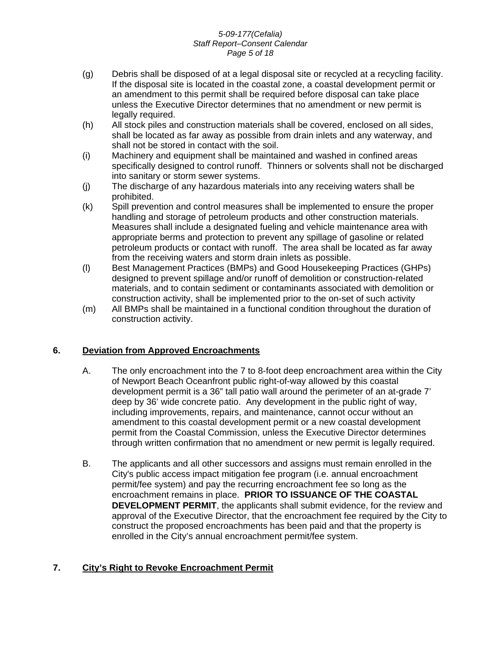#### *5-09-177(Cefalia) Staff Report–Consent Calendar Page 5 of 18*

- (g) Debris shall be disposed of at a legal disposal site or recycled at a recycling facility. If the disposal site is located in the coastal zone, a coastal development permit or an amendment to this permit shall be required before disposal can take place unless the Executive Director determines that no amendment or new permit is legally required.
- (h) All stock piles and construction materials shall be covered, enclosed on all sides, shall be located as far away as possible from drain inlets and any waterway, and shall not be stored in contact with the soil.
- (i) Machinery and equipment shall be maintained and washed in confined areas specifically designed to control runoff. Thinners or solvents shall not be discharged into sanitary or storm sewer systems.
- (j) The discharge of any hazardous materials into any receiving waters shall be prohibited.
- (k) Spill prevention and control measures shall be implemented to ensure the proper handling and storage of petroleum products and other construction materials. Measures shall include a designated fueling and vehicle maintenance area with appropriate berms and protection to prevent any spillage of gasoline or related petroleum products or contact with runoff. The area shall be located as far away from the receiving waters and storm drain inlets as possible.
- (l) Best Management Practices (BMPs) and Good Housekeeping Practices (GHPs) designed to prevent spillage and/or runoff of demolition or construction-related materials, and to contain sediment or contaminants associated with demolition or construction activity, shall be implemented prior to the on-set of such activity
- (m) All BMPs shall be maintained in a functional condition throughout the duration of construction activity.

## **6. Deviation from Approved Encroachments**

- A. The only encroachment into the 7 to 8-foot deep encroachment area within the City of Newport Beach Oceanfront public right-of-way allowed by this coastal development permit is a 36" tall patio wall around the perimeter of an at-grade 7' deep by 36' wide concrete patio. Any development in the public right of way, including improvements, repairs, and maintenance, cannot occur without an amendment to this coastal development permit or a new coastal development permit from the Coastal Commission, unless the Executive Director determines through written confirmation that no amendment or new permit is legally required.
- B. The applicants and all other successors and assigns must remain enrolled in the City's public access impact mitigation fee program (i.e. annual encroachment permit/fee system) and pay the recurring encroachment fee so long as the encroachment remains in place. **PRIOR TO ISSUANCE OF THE COASTAL DEVELOPMENT PERMIT.** the applicants shall submit evidence, for the review and approval of the Executive Director, that the encroachment fee required by the City to construct the proposed encroachments has been paid and that the property is enrolled in the City's annual encroachment permit/fee system.

## **7. City's Right to Revoke Encroachment Permit**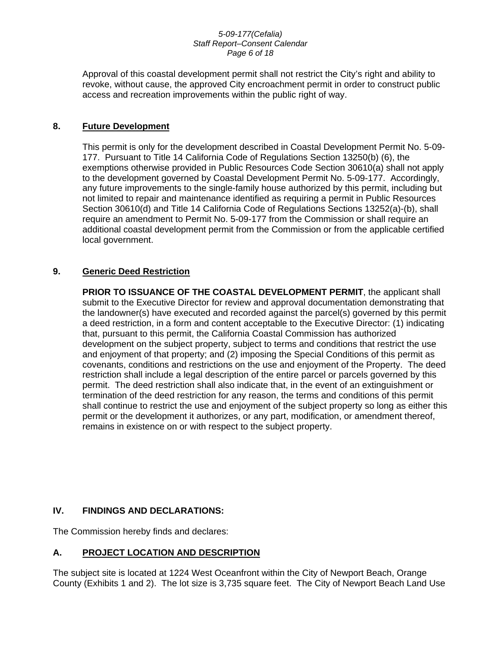#### *5-09-177(Cefalia) Staff Report–Consent Calendar Page 6 of 18*

Approval of this coastal development permit shall not restrict the City's right and ability to revoke, without cause, the approved City encroachment permit in order to construct public access and recreation improvements within the public right of way.

#### **8. Future Development**

This permit is only for the development described in Coastal Development Permit No. 5-09- 177. Pursuant to Title 14 California Code of Regulations Section 13250(b) (6), the exemptions otherwise provided in Public Resources Code Section 30610(a) shall not apply to the development governed by Coastal Development Permit No. 5-09-177. Accordingly, any future improvements to the single-family house authorized by this permit, including but not limited to repair and maintenance identified as requiring a permit in Public Resources Section 30610(d) and Title 14 California Code of Regulations Sections 13252(a)-(b), shall require an amendment to Permit No. 5-09-177 from the Commission or shall require an additional coastal development permit from the Commission or from the applicable certified local government.

## **9. Generic Deed Restriction**

**PRIOR TO ISSUANCE OF THE COASTAL DEVELOPMENT PERMIT, the applicant shall** submit to the Executive Director for review and approval documentation demonstrating that the landowner(s) have executed and recorded against the parcel(s) governed by this permit a deed restriction, in a form and content acceptable to the Executive Director: (1) indicating that, pursuant to this permit, the California Coastal Commission has authorized development on the subject property, subject to terms and conditions that restrict the use and enjoyment of that property; and (2) imposing the Special Conditions of this permit as covenants, conditions and restrictions on the use and enjoyment of the Property. The deed restriction shall include a legal description of the entire parcel or parcels governed by this permit. The deed restriction shall also indicate that, in the event of an extinguishment or termination of the deed restriction for any reason, the terms and conditions of this permit shall continue to restrict the use and enjoyment of the subject property so long as either this permit or the development it authorizes, or any part, modification, or amendment thereof, remains in existence on or with respect to the subject property.

## **IV. FINDINGS AND DECLARATIONS:**

The Commission hereby finds and declares:

## **A. PROJECT LOCATION AND DESCRIPTION**

The subject site is located at 1224 West Oceanfront within the City of Newport Beach, Orange County (Exhibits 1 and 2). The lot size is 3,735 square feet. The City of Newport Beach Land Use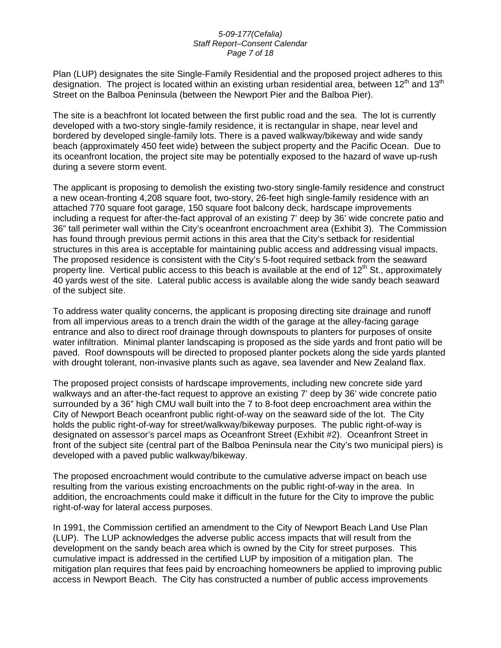#### *5-09-177(Cefalia) Staff Report–Consent Calendar Page 7 of 18*

Plan (LUP) designates the site Single-Family Residential and the proposed project adheres to this designation. The project is located within an existing urban residential area, between 12<sup>th</sup> and 13<sup>th</sup> Street on the Balboa Peninsula (between the Newport Pier and the Balboa Pier).

The site is a beachfront lot located between the first public road and the sea. The lot is currently developed with a two-story single-family residence, it is rectangular in shape, near level and bordered by developed single-family lots. There is a paved walkway/bikeway and wide sandy beach (approximately 450 feet wide) between the subject property and the Pacific Ocean. Due to its oceanfront location, the project site may be potentially exposed to the hazard of wave up-rush during a severe storm event.

The applicant is proposing to demolish the existing two-story single-family residence and construct a new ocean-fronting 4,208 square foot, two-story, 26-feet high single-family residence with an attached 770 square foot garage, 150 square foot balcony deck, hardscape improvements including a request for after-the-fact approval of an existing 7' deep by 36' wide concrete patio and 36" tall perimeter wall within the City's oceanfront encroachment area (Exhibit 3). The Commission has found through previous permit actions in this area that the City's setback for residential structures in this area is acceptable for maintaining public access and addressing visual impacts. The proposed residence is consistent with the City's 5-foot required setback from the seaward property line. Vertical public access to this beach is available at the end of  $12<sup>th</sup>$  St., approximately 40 yards west of the site. Lateral public access is available along the wide sandy beach seaward of the subject site.

To address water quality concerns, the applicant is proposing directing site drainage and runoff from all impervious areas to a trench drain the width of the garage at the alley-facing garage entrance and also to direct roof drainage through downspouts to planters for purposes of onsite water infiltration. Minimal planter landscaping is proposed as the side yards and front patio will be paved. Roof downspouts will be directed to proposed planter pockets along the side yards planted with drought tolerant, non-invasive plants such as agave, sea lavender and New Zealand flax.

The proposed project consists of hardscape improvements, including new concrete side yard walkways and an after-the-fact request to approve an existing 7' deep by 36' wide concrete patio surrounded by a 36" high CMU wall built into the 7 to 8-foot deep encroachment area within the City of Newport Beach oceanfront public right-of-way on the seaward side of the lot. The City holds the public right-of-way for street/walkway/bikeway purposes. The public right-of-way is designated on assessor's parcel maps as Oceanfront Street (Exhibit #2). Oceanfront Street in front of the subject site (central part of the Balboa Peninsula near the City's two municipal piers) is developed with a paved public walkway/bikeway.

The proposed encroachment would contribute to the cumulative adverse impact on beach use resulting from the various existing encroachments on the public right-of-way in the area. In addition, the encroachments could make it difficult in the future for the City to improve the public right-of-way for lateral access purposes.

In 1991, the Commission certified an amendment to the City of Newport Beach Land Use Plan (LUP). The LUP acknowledges the adverse public access impacts that will result from the development on the sandy beach area which is owned by the City for street purposes. This cumulative impact is addressed in the certified LUP by imposition of a mitigation plan. The mitigation plan requires that fees paid by encroaching homeowners be applied to improving public access in Newport Beach. The City has constructed a number of public access improvements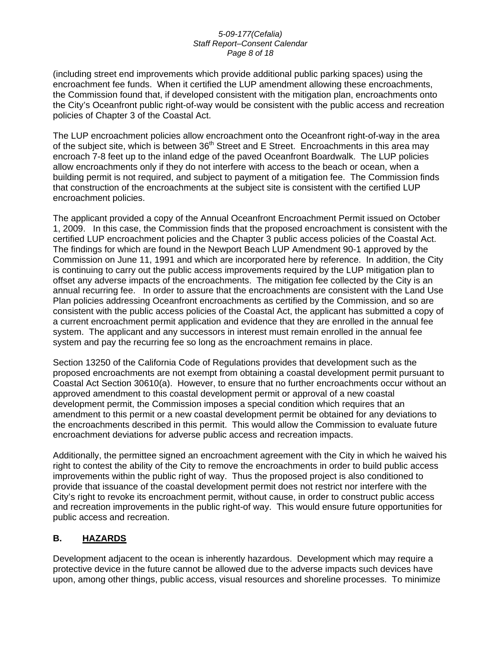#### *5-09-177(Cefalia) Staff Report–Consent Calendar Page 8 of 18*

(including street end improvements which provide additional public parking spaces) using the encroachment fee funds. When it certified the LUP amendment allowing these encroachments, the Commission found that, if developed consistent with the mitigation plan, encroachments onto the City's Oceanfront public right-of-way would be consistent with the public access and recreation policies of Chapter 3 of the Coastal Act.

The LUP encroachment policies allow encroachment onto the Oceanfront right-of-way in the area of the subject site, which is between  $36<sup>th</sup>$  Street and E Street. Encroachments in this area may encroach 7-8 feet up to the inland edge of the paved Oceanfront Boardwalk. The LUP policies allow encroachments only if they do not interfere with access to the beach or ocean, when a building permit is not required, and subject to payment of a mitigation fee. The Commission finds that construction of the encroachments at the subject site is consistent with the certified LUP encroachment policies.

The applicant provided a copy of the Annual Oceanfront Encroachment Permit issued on October 1, 2009. In this case, the Commission finds that the proposed encroachment is consistent with the certified LUP encroachment policies and the Chapter 3 public access policies of the Coastal Act. The findings for which are found in the Newport Beach LUP Amendment 90-1 approved by the Commission on June 11, 1991 and which are incorporated here by reference. In addition, the City is continuing to carry out the public access improvements required by the LUP mitigation plan to offset any adverse impacts of the encroachments. The mitigation fee collected by the City is an annual recurring fee. In order to assure that the encroachments are consistent with the Land Use Plan policies addressing Oceanfront encroachments as certified by the Commission, and so are consistent with the public access policies of the Coastal Act, the applicant has submitted a copy of a current encroachment permit application and evidence that they are enrolled in the annual fee system. The applicant and any successors in interest must remain enrolled in the annual fee system and pay the recurring fee so long as the encroachment remains in place.

Section 13250 of the California Code of Regulations provides that development such as the proposed encroachments are not exempt from obtaining a coastal development permit pursuant to Coastal Act Section 30610(a). However, to ensure that no further encroachments occur without an approved amendment to this coastal development permit or approval of a new coastal development permit, the Commission imposes a special condition which requires that an amendment to this permit or a new coastal development permit be obtained for any deviations to the encroachments described in this permit. This would allow the Commission to evaluate future encroachment deviations for adverse public access and recreation impacts.

Additionally, the permittee signed an encroachment agreement with the City in which he waived his right to contest the ability of the City to remove the encroachments in order to build public access improvements within the public right of way. Thus the proposed project is also conditioned to provide that issuance of the coastal development permit does not restrict nor interfere with the City's right to revoke its encroachment permit, without cause, in order to construct public access and recreation improvements in the public right-of way. This would ensure future opportunities for public access and recreation.

## **B. HAZARDS**

Development adjacent to the ocean is inherently hazardous. Development which may require a protective device in the future cannot be allowed due to the adverse impacts such devices have upon, among other things, public access, visual resources and shoreline processes. To minimize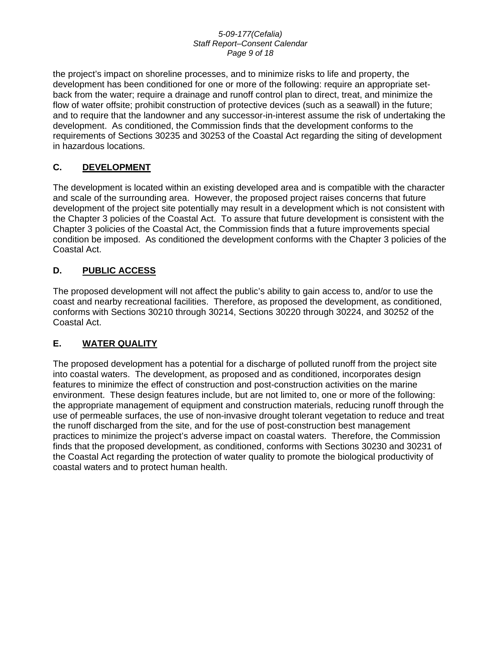#### *5-09-177(Cefalia) Staff Report–Consent Calendar Page 9 of 18*

the project's impact on shoreline processes, and to minimize risks to life and property, the development has been conditioned for one or more of the following: require an appropriate setback from the water; require a drainage and runoff control plan to direct, treat, and minimize the flow of water offsite; prohibit construction of protective devices (such as a seawall) in the future; and to require that the landowner and any successor-in-interest assume the risk of undertaking the development. As conditioned, the Commission finds that the development conforms to the requirements of Sections 30235 and 30253 of the Coastal Act regarding the siting of development in hazardous locations.

## **C. DEVELOPMENT**

The development is located within an existing developed area and is compatible with the character and scale of the surrounding area. However, the proposed project raises concerns that future development of the project site potentially may result in a development which is not consistent with the Chapter 3 policies of the Coastal Act. To assure that future development is consistent with the Chapter 3 policies of the Coastal Act, the Commission finds that a future improvements special condition be imposed. As conditioned the development conforms with the Chapter 3 policies of the Coastal Act.

## **D. PUBLIC ACCESS**

The proposed development will not affect the public's ability to gain access to, and/or to use the coast and nearby recreational facilities. Therefore, as proposed the development, as conditioned, conforms with Sections 30210 through 30214, Sections 30220 through 30224, and 30252 of the Coastal Act.

## **E. WATER QUALITY**

The proposed development has a potential for a discharge of polluted runoff from the project site into coastal waters. The development, as proposed and as conditioned, incorporates design features to minimize the effect of construction and post-construction activities on the marine environment. These design features include, but are not limited to, one or more of the following: the appropriate management of equipment and construction materials, reducing runoff through the use of permeable surfaces, the use of non-invasive drought tolerant vegetation to reduce and treat the runoff discharged from the site, and for the use of post-construction best management practices to minimize the project's adverse impact on coastal waters. Therefore, the Commission finds that the proposed development, as conditioned, conforms with Sections 30230 and 30231 of the Coastal Act regarding the protection of water quality to promote the biological productivity of coastal waters and to protect human health.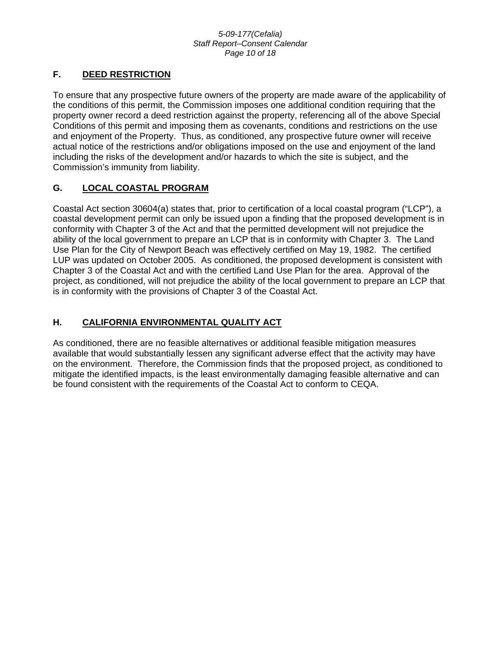#### *5-09-177(Cefalia) Staff Report–Consent Calendar Page 10 of 18*

## **F. DEED RESTRICTION**

To ensure that any prospective future owners of the property are made aware of the applicability of the conditions of this permit, the Commission imposes one additional condition requiring that the property owner record a deed restriction against the property, referencing all of the above Special Conditions of this permit and imposing them as covenants, conditions and restrictions on the use and enjoyment of the Property. Thus, as conditioned, any prospective future owner will receive actual notice of the restrictions and/or obligations imposed on the use and enjoyment of the land including the risks of the development and/or hazards to which the site is subject, and the Commission's immunity from liability.

## **G. LOCAL COASTAL PROGRAM**

Coastal Act section 30604(a) states that, prior to certification of a local coastal program ("LCP"), a coastal development permit can only be issued upon a finding that the proposed development is in conformity with Chapter 3 of the Act and that the permitted development will not prejudice the ability of the local government to prepare an LCP that is in conformity with Chapter 3. The Land Use Plan for the City of Newport Beach was effectively certified on May 19, 1982. The certified LUP was updated on October 2005. As conditioned, the proposed development is consistent with Chapter 3 of the Coastal Act and with the certified Land Use Plan for the area. Approval of the project, as conditioned, will not prejudice the ability of the local government to prepare an LCP that is in conformity with the provisions of Chapter 3 of the Coastal Act.

## **H. CALIFORNIA ENVIRONMENTAL QUALITY ACT**

As conditioned, there are no feasible alternatives or additional feasible mitigation measures available that would substantially lessen any significant adverse effect that the activity may have on the environment. Therefore, the Commission finds that the proposed project, as conditioned to mitigate the identified impacts, is the least environmentally damaging feasible alternative and can be found consistent with the requirements of the Coastal Act to conform to CEQA.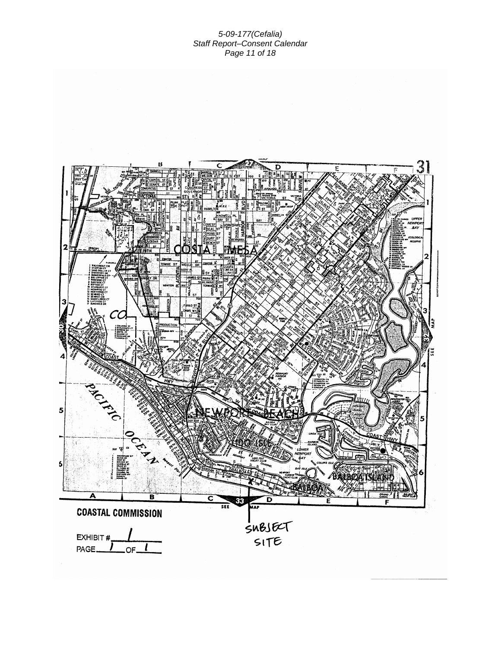#### *5-09-177(Cefalia) Staff Report–Consent Calendar Page 11 of 18*

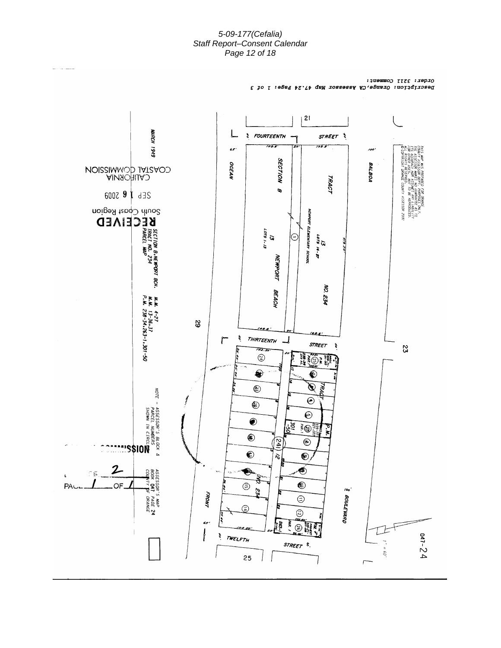#### *5-09-177(Cefalia) Staff Report–Consent Calendar Page 12 of 18*

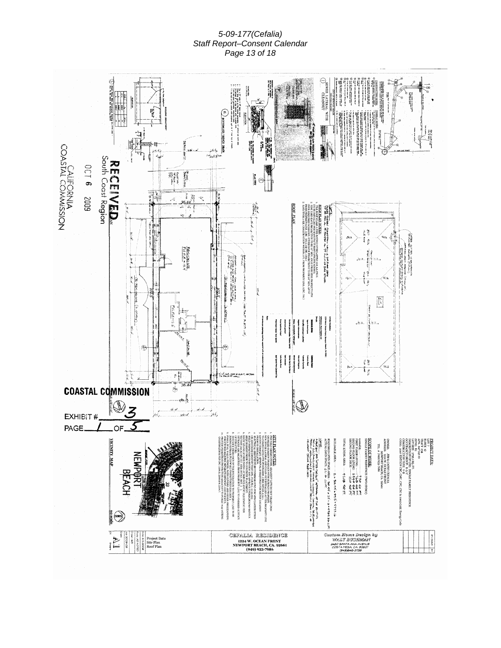#### *5-09-177(Cefalia) Staff Report–Consent Calendar Page 13 of 18*

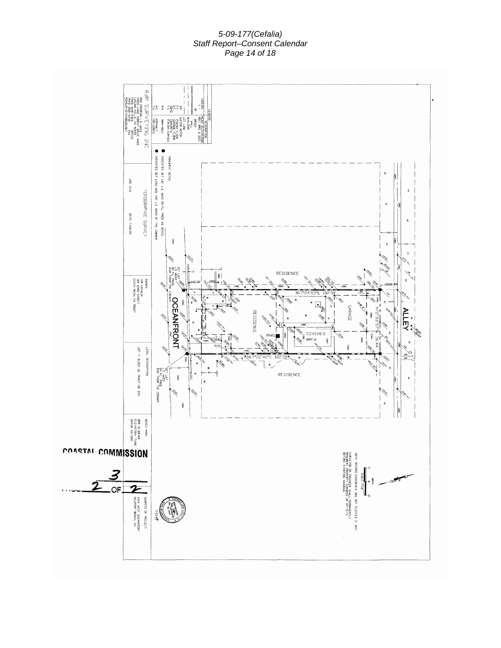#### *5-09-177(Cefalia) Staff Report–Consent Calendar Page 14 of 18*

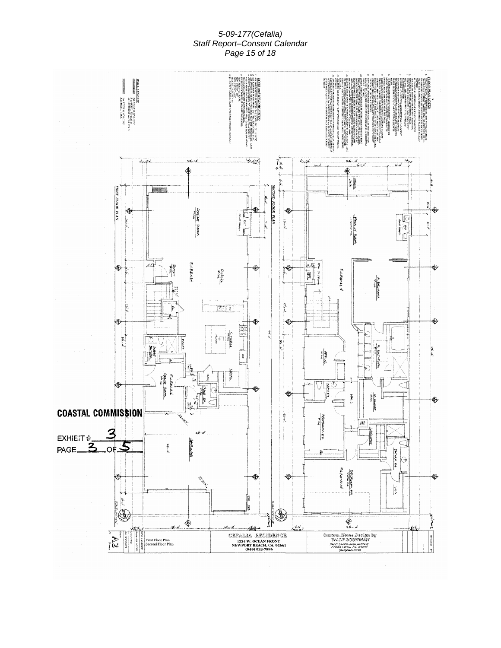*5-09-177(Cefalia) Staff Report–Consent Calendar Page 15 of 18* 

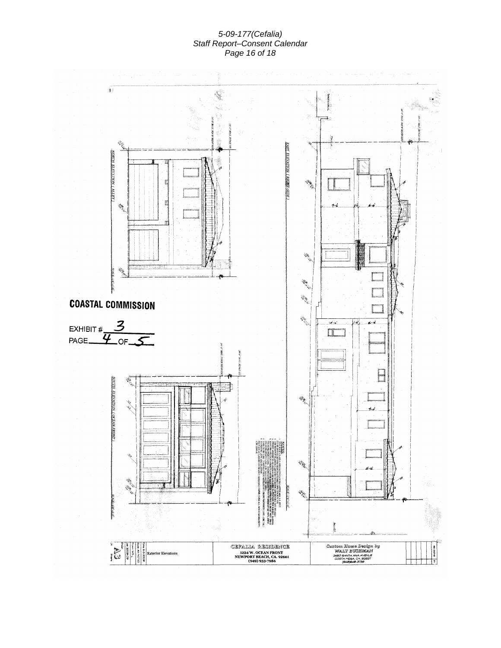#### *5-09-177(Cefalia) Staff Report–Consent Calendar Page 16 of 18*

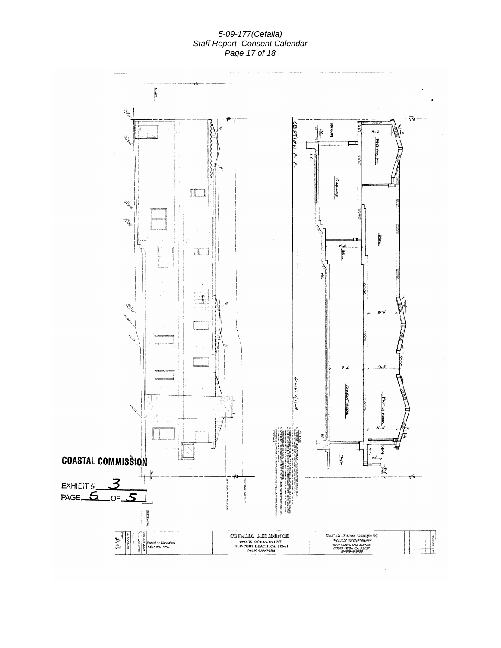#### *5-09-177(Cefalia) Staff Report–Consent Calendar Page 17 of 18*